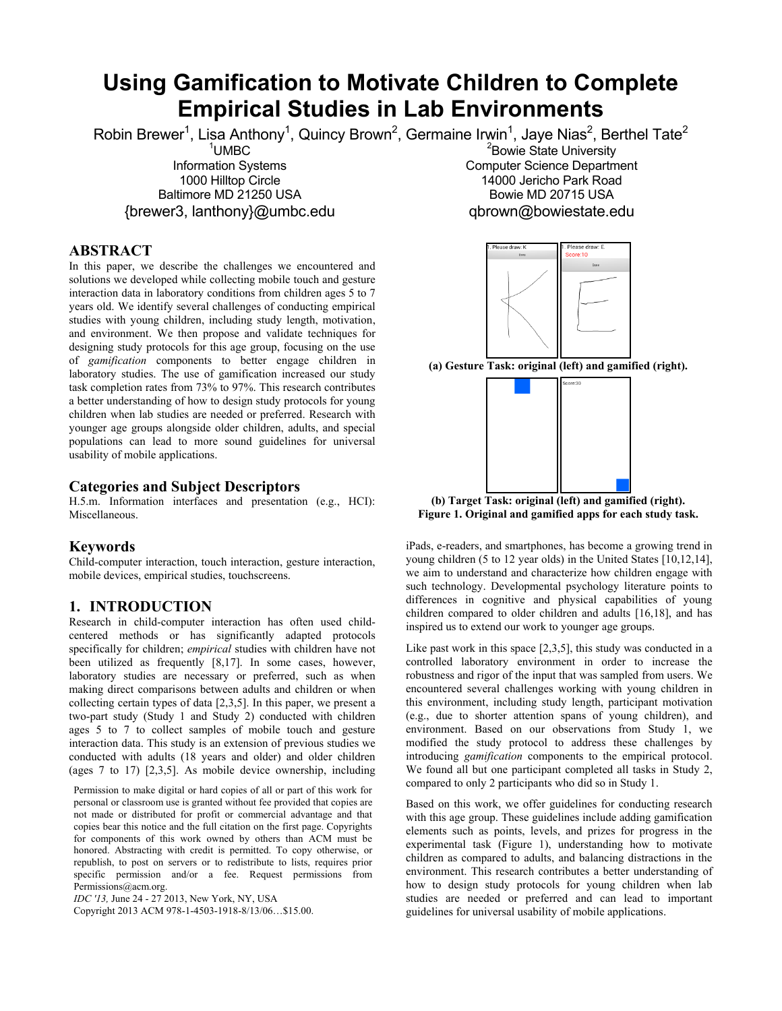# **Using Gamification to Motivate Children to Complete Empirical Studies in Lab Environments**

Robin Brewer<sup>1</sup>, Lisa Anthony<sup>1</sup>, Quincy Brown<sup>2</sup>, Germaine Irwin<sup>1</sup>, Jaye Nias<sup>2</sup>, Berthel Tate<sup>2</sup> <sup>1</sup>UMBC

Information Systems 1000 Hilltop Circle Baltimore MD 21250 USA {brewer3, lanthony}@umbc.edu

#### **ABSTRACT**

In this paper, we describe the challenges we encountered and solutions we developed while collecting mobile touch and gesture interaction data in laboratory conditions from children ages 5 to 7 years old. We identify several challenges of conducting empirical studies with young children, including study length, motivation, and environment. We then propose and validate techniques for designing study protocols for this age group, focusing on the use of *gamification* components to better engage children in laboratory studies. The use of gamification increased our study task completion rates from 73% to 97%. This research contributes a better understanding of how to design study protocols for young children when lab studies are needed or preferred. Research with younger age groups alongside older children, adults, and special populations can lead to more sound guidelines for universal usability of mobile applications.

## **Categories and Subject Descriptors**

H.5.m. Information interfaces and presentation (e.g., HCI): Miscellaneous.

# **Keywords**

Child-computer interaction, touch interaction, gesture interaction, mobile devices, empirical studies, touchscreens.

#### **1. INTRODUCTION**

Research in child-computer interaction has often used childcentered methods or has significantly adapted protocols specifically for children; *empirical* studies with children have not been utilized as frequently [8,17]. In some cases, however, laboratory studies are necessary or preferred, such as when making direct comparisons between adults and children or when collecting certain types of data [2,3,5]. In this paper, we present a two-part study (Study 1 and Study 2) conducted with children ages 5 to 7 to collect samples of mobile touch and gesture interaction data. This study is an extension of previous studies we conducted with adults (18 years and older) and older children (ages 7 to 17) [2,3,5]. As mobile device ownership, including

Permission to make digital or hard copies of all or part of this work for personal or classroom use is granted without fee provided that copies are not made or distributed for profit or commercial advantage and that copies bear this notice and the full citation on the first page. Copyrights for components of this work owned by others than ACM must be honored. Abstracting with credit is permitted. To copy otherwise, or republish, to post on servers or to redistribute to lists, requires prior specific permission and/or a fee. Request permissions from Permissions@acm.org.

*IDC '13,* June 24 - 27 2013, New York, NY, USA

Copyright 2013 ACM 978-1-4503-1918-8/13/06…\$15.00.

<sup>2</sup>Bowie State University Computer Science Department 14000 Jericho Park Road Bowie MD 20715 USA qbrown@bowiestate.edu



**(b) Target Task: original (left) and gamified (right). Figure 1. Original and gamified apps for each study task.**

iPads, e-readers, and smartphones, has become a growing trend in young children (5 to 12 year olds) in the United States [10,12,14], we aim to understand and characterize how children engage with such technology. Developmental psychology literature points to differences in cognitive and physical capabilities of young children compared to older children and adults [16,18], and has inspired us to extend our work to younger age groups.

Like past work in this space [2,3,5], this study was conducted in a controlled laboratory environment in order to increase the robustness and rigor of the input that was sampled from users. We encountered several challenges working with young children in this environment, including study length, participant motivation (e.g., due to shorter attention spans of young children), and environment. Based on our observations from Study 1, we modified the study protocol to address these challenges by introducing *gamification* components to the empirical protocol. We found all but one participant completed all tasks in Study 2, compared to only 2 participants who did so in Study 1.

Based on this work, we offer guidelines for conducting research with this age group. These guidelines include adding gamification elements such as points, levels, and prizes for progress in the experimental task (Figure 1), understanding how to motivate children as compared to adults, and balancing distractions in the environment. This research contributes a better understanding of how to design study protocols for young children when lab studies are needed or preferred and can lead to important guidelines for universal usability of mobile applications.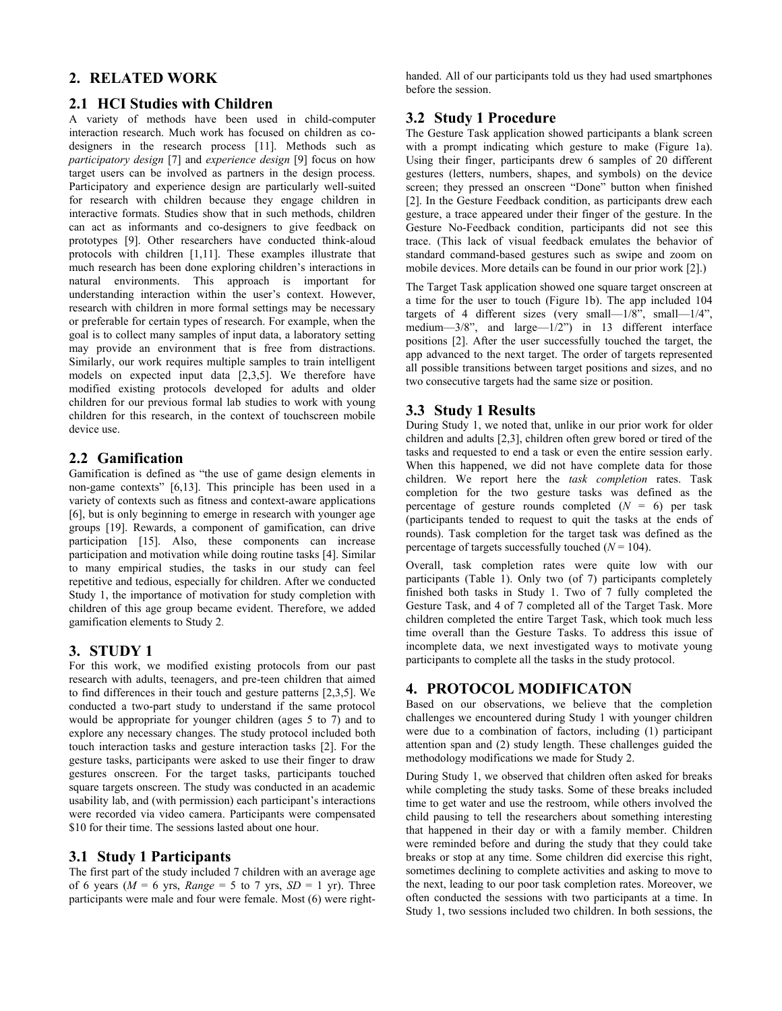# **2. RELATED WORK**

#### **2.1 HCI Studies with Children**

A variety of methods have been used in child-computer interaction research. Much work has focused on children as codesigners in the research process [11]. Methods such as *participatory design* [7] and *experience design* [9] focus on how target users can be involved as partners in the design process. Participatory and experience design are particularly well-suited for research with children because they engage children in interactive formats. Studies show that in such methods, children can act as informants and co-designers to give feedback on prototypes [9]. Other researchers have conducted think-aloud protocols with children [1,11]. These examples illustrate that much research has been done exploring children's interactions in natural environments. This approach is important for understanding interaction within the user's context. However, research with children in more formal settings may be necessary or preferable for certain types of research. For example, when the goal is to collect many samples of input data, a laboratory setting may provide an environment that is free from distractions. Similarly, our work requires multiple samples to train intelligent models on expected input data [2,3,5]. We therefore have modified existing protocols developed for adults and older children for our previous formal lab studies to work with young children for this research, in the context of touchscreen mobile device use.

## **2.2 Gamification**

Gamification is defined as "the use of game design elements in non-game contexts" [6,13]. This principle has been used in a variety of contexts such as fitness and context-aware applications [6], but is only beginning to emerge in research with younger age groups [19]. Rewards, a component of gamification, can drive participation [15]. Also, these components can increase participation and motivation while doing routine tasks [4]. Similar to many empirical studies, the tasks in our study can feel repetitive and tedious, especially for children. After we conducted Study 1, the importance of motivation for study completion with children of this age group became evident. Therefore, we added gamification elements to Study 2.

## **3. STUDY 1**

For this work, we modified existing protocols from our past research with adults, teenagers, and pre-teen children that aimed to find differences in their touch and gesture patterns [2,3,5]. We conducted a two-part study to understand if the same protocol would be appropriate for younger children (ages 5 to 7) and to explore any necessary changes. The study protocol included both touch interaction tasks and gesture interaction tasks [2]. For the gesture tasks, participants were asked to use their finger to draw gestures onscreen. For the target tasks, participants touched square targets onscreen. The study was conducted in an academic usability lab, and (with permission) each participant's interactions were recorded via video camera. Participants were compensated \$10 for their time. The sessions lasted about one hour.

## **3.1 Study 1 Participants**

The first part of the study included 7 children with an average age of 6 years ( $M = 6$  yrs,  $Range = 5$  to 7 yrs,  $SD = 1$  yr). Three participants were male and four were female. Most (6) were righthanded. All of our participants told us they had used smartphones before the session.

# **3.2 Study 1 Procedure**

The Gesture Task application showed participants a blank screen with a prompt indicating which gesture to make (Figure 1a). Using their finger, participants drew 6 samples of 20 different gestures (letters, numbers, shapes, and symbols) on the device screen; they pressed an onscreen "Done" button when finished [2]. In the Gesture Feedback condition, as participants drew each gesture, a trace appeared under their finger of the gesture. In the Gesture No-Feedback condition, participants did not see this trace. (This lack of visual feedback emulates the behavior of standard command-based gestures such as swipe and zoom on mobile devices. More details can be found in our prior work [2].)

The Target Task application showed one square target onscreen at a time for the user to touch (Figure 1b). The app included 104 targets of 4 different sizes (very small— $1/8$ ", small— $1/4$ ", medium—3/8", and large—1/2") in 13 different interface positions [2]. After the user successfully touched the target, the app advanced to the next target. The order of targets represented all possible transitions between target positions and sizes, and no two consecutive targets had the same size or position.

## **3.3 Study 1 Results**

During Study 1, we noted that, unlike in our prior work for older children and adults [2,3], children often grew bored or tired of the tasks and requested to end a task or even the entire session early. When this happened, we did not have complete data for those children. We report here the *task completion* rates. Task completion for the two gesture tasks was defined as the percentage of gesture rounds completed  $(N = 6)$  per task (participants tended to request to quit the tasks at the ends of rounds). Task completion for the target task was defined as the percentage of targets successfully touched  $(N = 104)$ .

Overall, task completion rates were quite low with our participants (Table 1). Only two (of 7) participants completely finished both tasks in Study 1. Two of 7 fully completed the Gesture Task, and 4 of 7 completed all of the Target Task. More children completed the entire Target Task, which took much less time overall than the Gesture Tasks. To address this issue of incomplete data, we next investigated ways to motivate young participants to complete all the tasks in the study protocol.

# **4. PROTOCOL MODIFICATON**

Based on our observations, we believe that the completion challenges we encountered during Study 1 with younger children were due to a combination of factors, including (1) participant attention span and (2) study length. These challenges guided the methodology modifications we made for Study 2.

During Study 1, we observed that children often asked for breaks while completing the study tasks. Some of these breaks included time to get water and use the restroom, while others involved the child pausing to tell the researchers about something interesting that happened in their day or with a family member. Children were reminded before and during the study that they could take breaks or stop at any time. Some children did exercise this right, sometimes declining to complete activities and asking to move to the next, leading to our poor task completion rates. Moreover, we often conducted the sessions with two participants at a time. In Study 1, two sessions included two children. In both sessions, the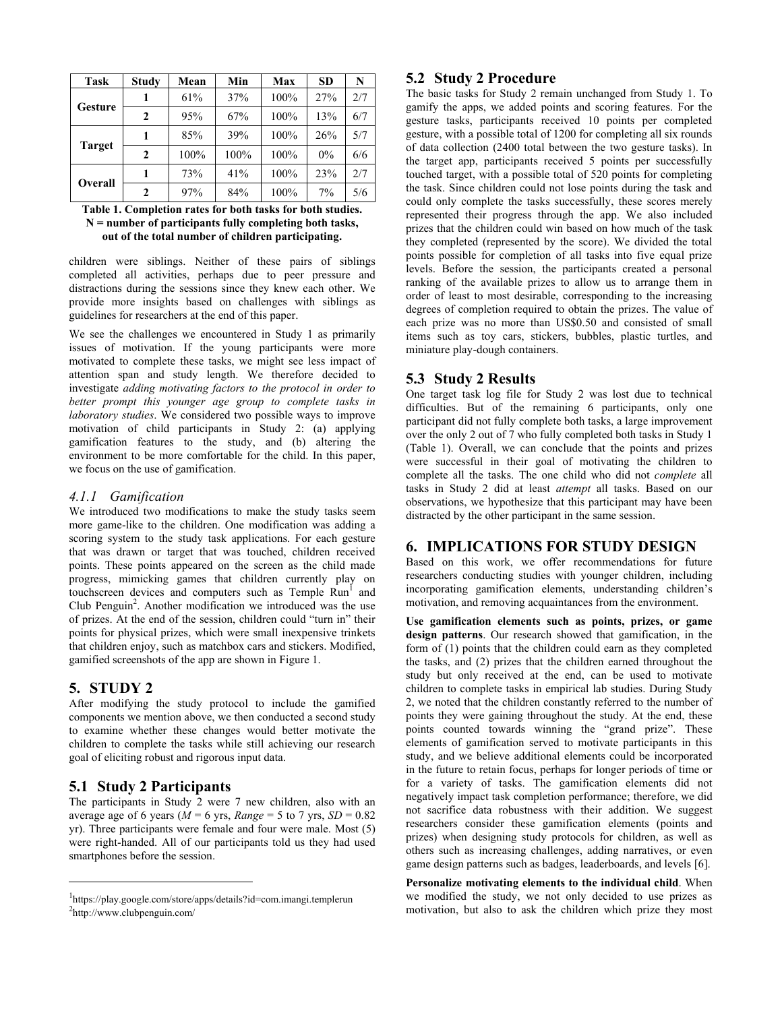| <b>Task</b>    | <b>Study</b> | Mean | Min  | Max  | <b>SD</b> | N   |
|----------------|--------------|------|------|------|-----------|-----|
| <b>Gesture</b> |              | 61%  | 37%  | 100% | 27%       | 2/7 |
|                | 2            | 95%  | 67%  | 100% | 13%       | 6/7 |
| <b>Target</b>  |              | 85%  | 39%  | 100% | 26%       | 5/7 |
|                | $\mathbf{2}$ | 100% | 100% | 100% | $0\%$     | 6/6 |
| Overall        |              | 73%  | 41%  | 100% | 23%       | 2/7 |
|                | $\mathbf{2}$ | 97%  | 84%  | 100% | 7%        | 5/6 |

#### **Table 1. Completion rates for both tasks for both studies. N = number of participants fully completing both tasks, out of the total number of children participating.**

children were siblings. Neither of these pairs of siblings completed all activities, perhaps due to peer pressure and distractions during the sessions since they knew each other. We provide more insights based on challenges with siblings as guidelines for researchers at the end of this paper.

We see the challenges we encountered in Study 1 as primarily issues of motivation. If the young participants were more motivated to complete these tasks, we might see less impact of attention span and study length. We therefore decided to investigate *adding motivating factors to the protocol in order to better prompt this younger age group to complete tasks in laboratory studies*. We considered two possible ways to improve motivation of child participants in Study 2: (a) applying gamification features to the study, and (b) altering the environment to be more comfortable for the child. In this paper, we focus on the use of gamification.

#### *4.1.1 Gamification*

We introduced two modifications to make the study tasks seem more game-like to the children. One modification was adding a scoring system to the study task applications. For each gesture that was drawn or target that was touched, children received points. These points appeared on the screen as the child made progress, mimicking games that children currently play on touchscreen devices and computers such as  $T$ emple  $\text{Run}^1$  and Club Penguin<sup>2</sup>. Another modification we introduced was the use of prizes. At the end of the session, children could "turn in" their points for physical prizes, which were small inexpensive trinkets that children enjoy, such as matchbox cars and stickers. Modified, gamified screenshots of the app are shown in Figure 1.

# **5. STUDY 2**

l

After modifying the study protocol to include the gamified components we mention above, we then conducted a second study to examine whether these changes would better motivate the children to complete the tasks while still achieving our research goal of eliciting robust and rigorous input data.

# **5.1 Study 2 Participants**

The participants in Study 2 were 7 new children, also with an average age of 6 years ( $M = 6$  yrs, *Range* = 5 to 7 yrs,  $SD = 0.82$ ) yr). Three participants were female and four were male. Most (5) were right-handed. All of our participants told us they had used smartphones before the session.

# **5.2 Study 2 Procedure**

The basic tasks for Study 2 remain unchanged from Study 1. To gamify the apps, we added points and scoring features. For the gesture tasks, participants received 10 points per completed gesture, with a possible total of 1200 for completing all six rounds of data collection (2400 total between the two gesture tasks). In the target app, participants received 5 points per successfully touched target, with a possible total of 520 points for completing the task. Since children could not lose points during the task and could only complete the tasks successfully, these scores merely represented their progress through the app. We also included prizes that the children could win based on how much of the task they completed (represented by the score). We divided the total points possible for completion of all tasks into five equal prize levels. Before the session, the participants created a personal ranking of the available prizes to allow us to arrange them in order of least to most desirable, corresponding to the increasing degrees of completion required to obtain the prizes. The value of each prize was no more than US\$0.50 and consisted of small items such as toy cars, stickers, bubbles, plastic turtles, and miniature play-dough containers.

# **5.3 Study 2 Results**

One target task log file for Study 2 was lost due to technical difficulties. But of the remaining 6 participants, only one participant did not fully complete both tasks, a large improvement over the only 2 out of 7 who fully completed both tasks in Study 1 (Table 1). Overall, we can conclude that the points and prizes were successful in their goal of motivating the children to complete all the tasks. The one child who did not *complete* all tasks in Study 2 did at least *attempt* all tasks. Based on our observations, we hypothesize that this participant may have been distracted by the other participant in the same session.

# **6. IMPLICATIONS FOR STUDY DESIGN**

Based on this work, we offer recommendations for future researchers conducting studies with younger children, including incorporating gamification elements, understanding children's motivation, and removing acquaintances from the environment.

**Use gamification elements such as points, prizes, or game design patterns**. Our research showed that gamification, in the form of (1) points that the children could earn as they completed the tasks, and (2) prizes that the children earned throughout the study but only received at the end, can be used to motivate children to complete tasks in empirical lab studies. During Study 2, we noted that the children constantly referred to the number of points they were gaining throughout the study. At the end, these points counted towards winning the "grand prize". These elements of gamification served to motivate participants in this study, and we believe additional elements could be incorporated in the future to retain focus, perhaps for longer periods of time or for a variety of tasks. The gamification elements did not negatively impact task completion performance; therefore, we did not sacrifice data robustness with their addition. We suggest researchers consider these gamification elements (points and prizes) when designing study protocols for children, as well as others such as increasing challenges, adding narratives, or even game design patterns such as badges, leaderboards, and levels [6].

**Personalize motivating elements to the individual child**. When we modified the study, we not only decided to use prizes as motivation, but also to ask the children which prize they most

<sup>1</sup> https://play.google.com/store/apps/details?id=com.imangi.templerun 2 http://www.clubpenguin.com/